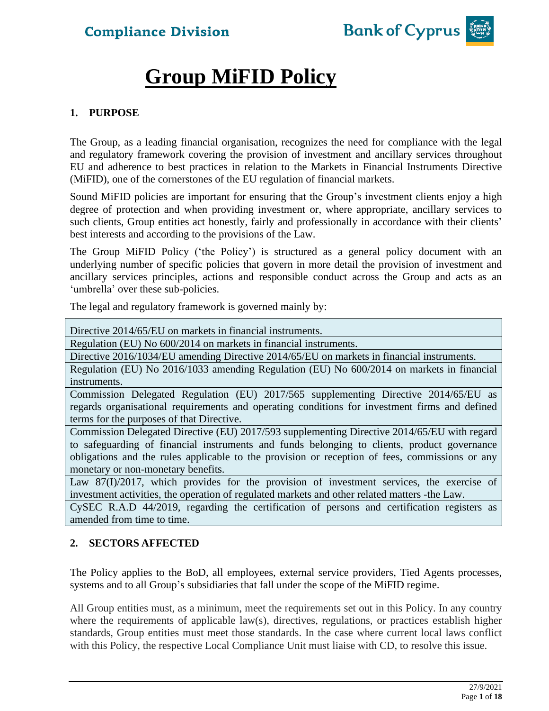

# **Group MiFID Policy**

### **1. PURPOSE**

The Group, as a leading financial organisation, recognizes the need for compliance with the legal and regulatory framework covering the provision of investment and ancillary services throughout EU and adherence to best practices in relation to the Markets in Financial Instruments Directive (MiFID), one of the cornerstones of the EU regulation of financial markets.

Sound MiFID policies are important for ensuring that the Group's investment clients enjoy a high degree of protection and when providing investment or, where appropriate, ancillary services to such clients, Group entities act honestly, fairly and professionally in accordance with their clients' best interests and according to the provisions of the Law.

The Group MiFID Policy ('the Policy') is structured as a general policy document with an underlying number of specific policies that govern in more detail the provision of investment and ancillary services principles, actions and responsible conduct across the Group and acts as an 'umbrella' over these sub-policies.

The legal and regulatory framework is governed mainly by:

Directive 2014/65/EU on markets in financial instruments.

Regulation (EU) No 600/2014 on markets in financial instruments.

Directive 2016/1034/EU amending Directive 2014/65/EU on markets in financial instruments.

Regulation (EU) No 2016/1033 amending Regulation (EU) No 600/2014 on markets in financial instruments.

Commission Delegated Regulation (EU) 2017/565 supplementing Directive 2014/65/EU as regards organisational requirements and operating conditions for investment firms and defined terms for the purposes of that Directive.

[Commission Delegated Directive](http://eur-lex.europa.eu/legal-content/EN/TXT/?qid=1398413558699&uri=CELEX:32006L0073) (EU) 2017/593 supplementing Directive 2014/65/EU with regard to safeguarding of financial instruments and funds belonging to clients, product governance obligations and the rules applicable to the provision or reception of fees, commissions or any monetary or non-monetary benefits.

Law 87(I)/2017, which provides for the provision of investment services, the exercise of investment activities, the operation of regulated markets and other related matters -the Law.

CySEC R.A.D 44/2019, regarding the certification of persons and certification registers as amended from time to time.

### **2. SECTORS AFFECTED**

The Policy applies to the BoD, all employees, external service providers, Tied Agents processes, systems and to all Group's subsidiaries that fall under the scope of the MiFID regime.

All Group entities must, as a minimum, meet the requirements set out in this Policy. In any country where the requirements of applicable law(s), directives, regulations, or practices establish higher standards, Group entities must meet those standards. In the case where current local laws conflict with this Policy, the respective Local Compliance Unit must liaise with CD, to resolve this issue.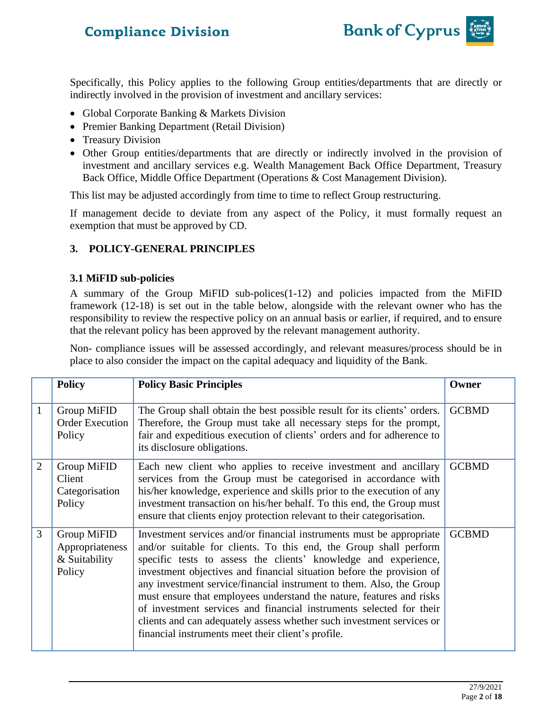

Specifically, this Policy applies to the following Group entities/departments that are directly or indirectly involved in the provision of investment and ancillary services:

- Global Corporate Banking & Markets Division
- Premier Banking Department (Retail Division)
- Treasury Division
- Other Group entities/departments that are directly or indirectly involved in the provision of investment and ancillary services e.g. Wealth Management Back Office Department, Treasury Back Office, Middle Office Department (Operations & Cost Management Division).

This list may be adjusted accordingly from time to time to reflect Group restructuring.

If management decide to deviate from any aspect of the Policy, it must formally request an exemption that must be approved by CD.

### **3. POLICY-GENERAL PRINCIPLES**

#### **3.1 MiFID sub-policies**

A summary of the Group MiFID sub-polices(1-12) and policies impacted from the MiFID framework (12-18) is set out in the table below, alongside with the relevant owner who has the responsibility to review the respective policy on an annual basis or earlier, if required, and to ensure that the relevant policy has been approved by the relevant management authority.

Non- compliance issues will be assessed accordingly, and relevant measures/process should be in place to also consider the impact on the capital adequacy and liquidity of the Bank.

|                | <b>Policy</b>                                             | <b>Policy Basic Principles</b>                                                                                                                                                                                                                                                                                                                                                                                                                                                                                                                                                                                                              | Owner        |
|----------------|-----------------------------------------------------------|---------------------------------------------------------------------------------------------------------------------------------------------------------------------------------------------------------------------------------------------------------------------------------------------------------------------------------------------------------------------------------------------------------------------------------------------------------------------------------------------------------------------------------------------------------------------------------------------------------------------------------------------|--------------|
| 1              | Group MiFID<br><b>Order Execution</b><br>Policy           | The Group shall obtain the best possible result for its clients' orders.<br>Therefore, the Group must take all necessary steps for the prompt,<br>fair and expeditious execution of clients' orders and for adherence to<br>its disclosure obligations.                                                                                                                                                                                                                                                                                                                                                                                     | <b>GCBMD</b> |
| $\overline{2}$ | Group MiFID<br>Client<br>Categorisation<br>Policy         | Each new client who applies to receive investment and ancillary<br>services from the Group must be categorised in accordance with<br>his/her knowledge, experience and skills prior to the execution of any<br>investment transaction on his/her behalf. To this end, the Group must<br>ensure that clients enjoy protection relevant to their categorisation.                                                                                                                                                                                                                                                                              | <b>GCBMD</b> |
| 3              | Group MiFID<br>Appropriateness<br>& Suitability<br>Policy | Investment services and/or financial instruments must be appropriate<br>and/or suitable for clients. To this end, the Group shall perform<br>specific tests to assess the clients' knowledge and experience,<br>investment objectives and financial situation before the provision of<br>any investment service/financial instrument to them. Also, the Group<br>must ensure that employees understand the nature, features and risks<br>of investment services and financial instruments selected for their<br>clients and can adequately assess whether such investment services or<br>financial instruments meet their client's profile. | <b>GCBMD</b> |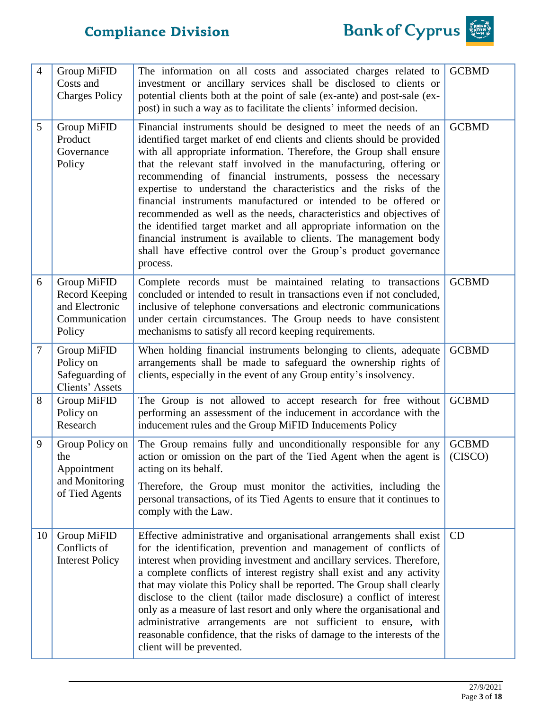

| $\overline{4}$ | Group MiFID<br>Costs and<br><b>Charges Policy</b>                          | The information on all costs and associated charges related to<br>investment or ancillary services shall be disclosed to clients or<br>potential clients both at the point of sale (ex-ante) and post-sale (ex-<br>post) in such a way as to facilitate the clients' informed decision.                                                                                                                                                                                                                                                                                                                                                                                                                                                                                                           | <b>GCBMD</b>            |
|----------------|----------------------------------------------------------------------------|---------------------------------------------------------------------------------------------------------------------------------------------------------------------------------------------------------------------------------------------------------------------------------------------------------------------------------------------------------------------------------------------------------------------------------------------------------------------------------------------------------------------------------------------------------------------------------------------------------------------------------------------------------------------------------------------------------------------------------------------------------------------------------------------------|-------------------------|
| 5              | Group MiFID<br>Product<br>Governance<br>Policy                             | Financial instruments should be designed to meet the needs of an<br>identified target market of end clients and clients should be provided<br>with all appropriate information. Therefore, the Group shall ensure<br>that the relevant staff involved in the manufacturing, offering or<br>recommending of financial instruments, possess the necessary<br>expertise to understand the characteristics and the risks of the<br>financial instruments manufactured or intended to be offered or<br>recommended as well as the needs, characteristics and objectives of<br>the identified target market and all appropriate information on the<br>financial instrument is available to clients. The management body<br>shall have effective control over the Group's product governance<br>process. | <b>GCBMD</b>            |
| 6              | Group MiFID<br>Record Keeping<br>and Electronic<br>Communication<br>Policy | Complete records must be maintained relating to transactions<br>concluded or intended to result in transactions even if not concluded,<br>inclusive of telephone conversations and electronic communications<br>under certain circumstances. The Group needs to have consistent<br>mechanisms to satisfy all record keeping requirements.                                                                                                                                                                                                                                                                                                                                                                                                                                                         | <b>GCBMD</b>            |
| $\tau$         | Group MiFID<br>Policy on<br>Safeguarding of<br>Clients' Assets             | When holding financial instruments belonging to clients, adequate<br>arrangements shall be made to safeguard the ownership rights of<br>clients, especially in the event of any Group entity's insolvency.                                                                                                                                                                                                                                                                                                                                                                                                                                                                                                                                                                                        | <b>GCBMD</b>            |
| 8              | Group MiFID<br>Policy on<br>Research                                       | The Group is not allowed to accept research for free without<br>performing an assessment of the inducement in accordance with the<br>inducement rules and the Group MiFID Inducements Policy                                                                                                                                                                                                                                                                                                                                                                                                                                                                                                                                                                                                      | <b>GCBMD</b>            |
| 9              | Group Policy on<br>the<br>Appointment<br>and Monitoring<br>of Tied Agents  | The Group remains fully and unconditionally responsible for any<br>action or omission on the part of the Tied Agent when the agent is<br>acting on its behalf.<br>Therefore, the Group must monitor the activities, including the<br>personal transactions, of its Tied Agents to ensure that it continues to<br>comply with the Law.                                                                                                                                                                                                                                                                                                                                                                                                                                                             | <b>GCBMD</b><br>(CISCO) |
| 10             | Group MiFID<br>Conflicts of<br><b>Interest Policy</b>                      | Effective administrative and organisational arrangements shall exist<br>for the identification, prevention and management of conflicts of<br>interest when providing investment and ancillary services. Therefore,<br>a complete conflicts of interest registry shall exist and any activity<br>that may violate this Policy shall be reported. The Group shall clearly<br>disclose to the client (tailor made disclosure) a conflict of interest<br>only as a measure of last resort and only where the organisational and<br>administrative arrangements are not sufficient to ensure, with<br>reasonable confidence, that the risks of damage to the interests of the<br>client will be prevented.                                                                                             | CD                      |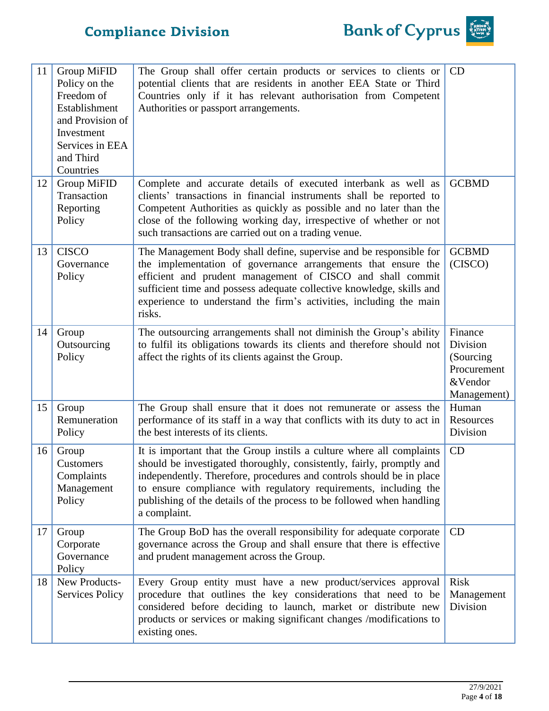

| 11 | <b>Group MiFID</b><br>Policy on the<br>Freedom of<br>Establishment<br>and Provision of<br>Investment<br>Services in EEA<br>and Third<br>Countries | The Group shall offer certain products or services to clients or<br>potential clients that are residents in another EEA State or Third<br>Countries only if it has relevant authorisation from Competent<br>Authorities or passport arrangements.                                                                                                                                   | CD                                                                         |
|----|---------------------------------------------------------------------------------------------------------------------------------------------------|-------------------------------------------------------------------------------------------------------------------------------------------------------------------------------------------------------------------------------------------------------------------------------------------------------------------------------------------------------------------------------------|----------------------------------------------------------------------------|
| 12 | Group MiFID<br>Transaction<br>Reporting<br>Policy                                                                                                 | Complete and accurate details of executed interbank as well as<br>clients' transactions in financial instruments shall be reported to<br>Competent Authorities as quickly as possible and no later than the<br>close of the following working day, irrespective of whether or not<br>such transactions are carried out on a trading venue.                                          | <b>GCBMD</b>                                                               |
| 13 | <b>CISCO</b><br>Governance<br>Policy                                                                                                              | The Management Body shall define, supervise and be responsible for<br>the implementation of governance arrangements that ensure the<br>efficient and prudent management of CISCO and shall commit<br>sufficient time and possess adequate collective knowledge, skills and<br>experience to understand the firm's activities, including the main<br>risks.                          | <b>GCBMD</b><br>(CISCO)                                                    |
| 14 | Group<br>Outsourcing<br>Policy                                                                                                                    | The outsourcing arrangements shall not diminish the Group's ability<br>to fulfil its obligations towards its clients and therefore should not<br>affect the rights of its clients against the Group.                                                                                                                                                                                | Finance<br>Division<br>(Sourcing)<br>Procurement<br>&Vendor<br>Management) |
| 15 | Group<br>Remuneration<br>Policy                                                                                                                   | The Group shall ensure that it does not remunerate or assess the<br>performance of its staff in a way that conflicts with its duty to act in<br>the best interests of its clients.                                                                                                                                                                                                  | Human<br>Resources<br>Division                                             |
| 16 | Group<br>Customers<br>Complaints<br>Management<br>Policy                                                                                          | It is important that the Group instils a culture where all complaints<br>should be investigated thoroughly, consistently, fairly, promptly and<br>independently. Therefore, procedures and controls should be in place<br>to ensure compliance with regulatory requirements, including the<br>publishing of the details of the process to be followed when handling<br>a complaint. | CD                                                                         |
| 17 | Group<br>Corporate<br>Governance<br>Policy                                                                                                        | The Group BoD has the overall responsibility for adequate corporate<br>governance across the Group and shall ensure that there is effective<br>and prudent management across the Group.                                                                                                                                                                                             | CD                                                                         |
| 18 | New Products-<br><b>Services Policy</b>                                                                                                           | Every Group entity must have a new product/services approval<br>procedure that outlines the key considerations that need to be<br>considered before deciding to launch, market or distribute new<br>products or services or making significant changes /modifications to<br>existing ones.                                                                                          | <b>Risk</b><br>Management<br>Division                                      |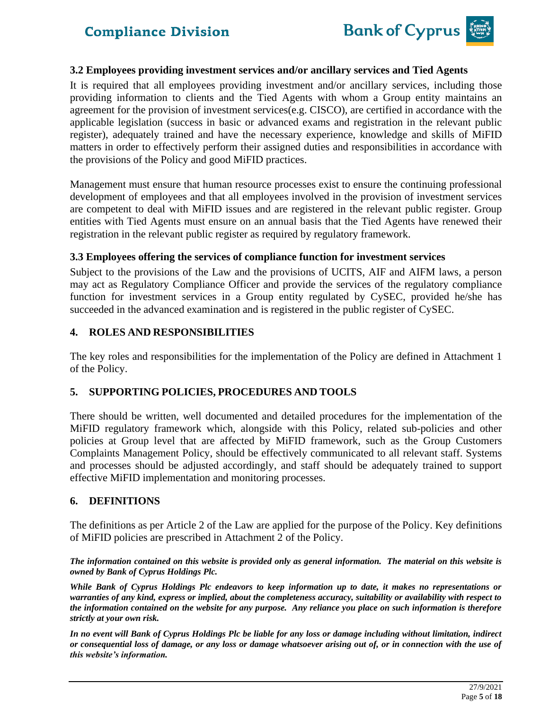

### **3.2 Employees providing investment services and/or ancillary services and Tied Agents**

It is required that all employees providing investment and/or ancillary services, including those providing information to clients and the Tied Agents with whom a Group entity maintains an agreement for the provision of investment services(e.g. CISCO), are certified in accordance with the applicable legislation (success in basic or advanced exams and registration in the relevant public register), adequately trained and have the necessary experience, knowledge and skills of MiFID matters in order to effectively perform their assigned duties and responsibilities in accordance with the provisions of the Policy and good MiFID practices.

Management must ensure that human resource processes exist to ensure the continuing professional development of employees and that all employees involved in the provision of investment services are competent to deal with MiFID issues and are registered in the relevant public register. Group entities with Tied Agents must ensure on an annual basis that the Tied Agents have renewed their registration in the relevant public register as required by regulatory framework.

### **3.3 Employees offering the services of compliance function for investment services**

Subject to the provisions of the Law and the provisions of UCITS, AIF and AIFM laws, a person may act as Regulatory Compliance Officer and provide the services of the regulatory compliance function for investment services in a Group entity regulated by CySEC, provided he/she has succeeded in the advanced examination and is registered in the public register of CySEC.

#### **4. ROLES AND RESPONSIBILITIES**

The key roles and responsibilities for the implementation of the Policy are defined in Attachment 1 of the Policy.

#### **5. SUPPORTING POLICIES, PROCEDURES AND TOOLS**

There should be written, well documented and detailed procedures for the implementation of the MiFID regulatory framework which, alongside with this Policy, related sub-policies and other policies at Group level that are affected by MiFID framework, such as the Group Customers Complaints Management Policy, should be effectively communicated to all relevant staff. Systems and processes should be adjusted accordingly, and staff should be adequately trained to support effective MiFID implementation and monitoring processes.

### **6. DEFINITIONS**

The definitions as per Article 2 of the Law are applied for the purpose of the Policy. Key definitions of MiFID policies are prescribed in Attachment 2 of the Policy.

*The information contained on this website is provided only as general information. The material on this website is owned by Bank of Cyprus Holdings Plc.*

*While Bank of Cyprus Holdings Plc endeavors to keep information up to date, it makes no representations or warranties of any kind, express or implied, about the completeness accuracy, suitability or availability with respect to the information contained on the website for any purpose. Any reliance you place on such information is therefore strictly at your own risk.* 

*In no event will Bank of Cyprus Holdings Plc be liable for any loss or damage including without limitation, indirect or consequential loss of damage, or any loss or damage whatsoever arising out of, or in connection with the use of this website's information.*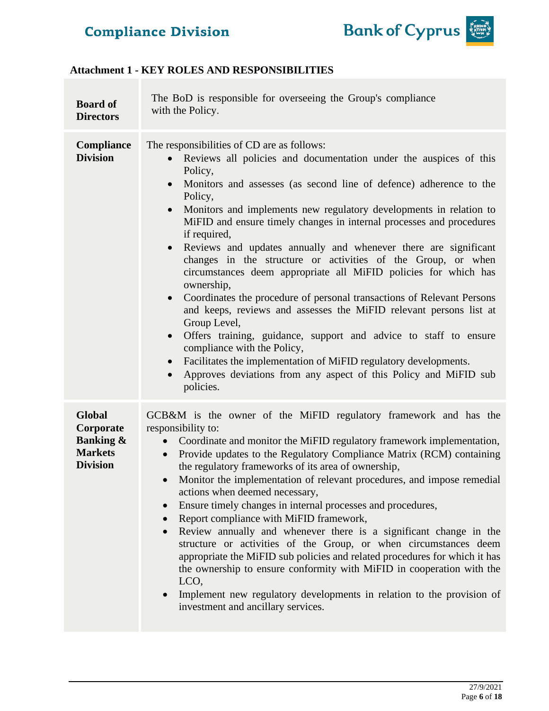

### **Attachment 1 - KEY ROLES AND RESPONSIBILITIES**

| <b>Board of</b><br><b>Directors</b>                                                     | The BoD is responsible for overseeing the Group's compliance<br>with the Policy.                                                                                                                                                                                                                                                                                                                                                                                                                                                                                                                                                                                                                                                                                                                                                                                                                                                                                                                                                                                                       |
|-----------------------------------------------------------------------------------------|----------------------------------------------------------------------------------------------------------------------------------------------------------------------------------------------------------------------------------------------------------------------------------------------------------------------------------------------------------------------------------------------------------------------------------------------------------------------------------------------------------------------------------------------------------------------------------------------------------------------------------------------------------------------------------------------------------------------------------------------------------------------------------------------------------------------------------------------------------------------------------------------------------------------------------------------------------------------------------------------------------------------------------------------------------------------------------------|
| <b>Compliance</b><br><b>Division</b>                                                    | The responsibilities of CD are as follows:<br>Reviews all policies and documentation under the auspices of this<br>Policy,<br>Monitors and assesses (as second line of defence) adherence to the<br>$\bullet$<br>Policy,<br>Monitors and implements new regulatory developments in relation to<br>$\bullet$<br>MiFID and ensure timely changes in internal processes and procedures<br>if required,<br>Reviews and updates annually and whenever there are significant<br>$\bullet$<br>changes in the structure or activities of the Group, or when<br>circumstances deem appropriate all MiFID policies for which has<br>ownership,<br>Coordinates the procedure of personal transactions of Relevant Persons<br>$\bullet$<br>and keeps, reviews and assesses the MiFID relevant persons list at<br>Group Level,<br>Offers training, guidance, support and advice to staff to ensure<br>$\bullet$<br>compliance with the Policy,<br>Facilitates the implementation of MiFID regulatory developments.<br>Approves deviations from any aspect of this Policy and MiFID sub<br>policies. |
| <b>Global</b><br>Corporate<br><b>Banking &amp;</b><br><b>Markets</b><br><b>Division</b> | GCB&M is the owner of the MiFID regulatory framework and has the<br>responsibility to:<br>Coordinate and monitor the MiFID regulatory framework implementation,<br>$\bullet$<br>Provide updates to the Regulatory Compliance Matrix (RCM) containing<br>$\bullet$<br>the regulatory frameworks of its area of ownership,<br>Monitor the implementation of relevant procedures, and impose remedial<br>$\bullet$<br>actions when deemed necessary,<br>Ensure timely changes in internal processes and procedures,<br>$\bullet$<br>Report compliance with MiFID framework,<br>$\bullet$<br>Review annually and whenever there is a significant change in the<br>$\bullet$<br>structure or activities of the Group, or when circumstances deem<br>appropriate the MiFID sub policies and related procedures for which it has<br>the ownership to ensure conformity with MiFID in cooperation with the<br>LCO,<br>Implement new regulatory developments in relation to the provision of<br>$\bullet$<br>investment and ancillary services.                                                 |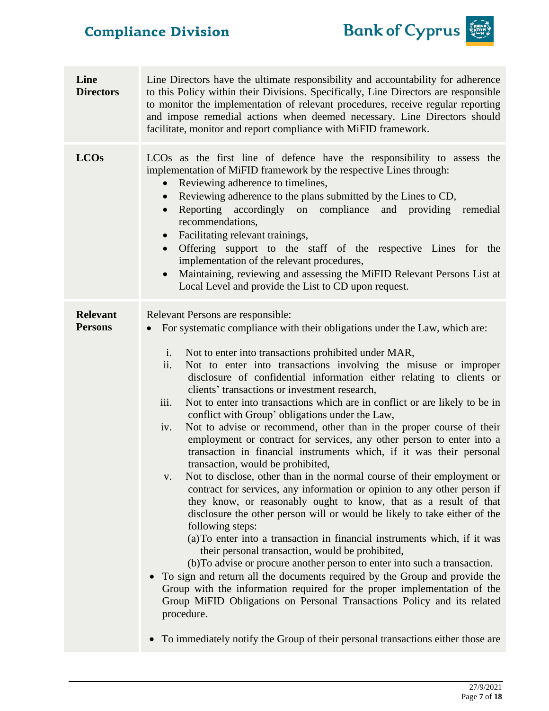

| Line<br><b>Directors</b>          | Line Directors have the ultimate responsibility and accountability for adherence<br>to this Policy within their Divisions. Specifically, Line Directors are responsible<br>to monitor the implementation of relevant procedures, receive regular reporting<br>and impose remedial actions when deemed necessary. Line Directors should<br>facilitate, monitor and report compliance with MiFID framework.                                                                                                                                                                                                                                                                                                                                                                                                                                                                                                                                                                                                                                                                                                                                                                                                                                                                                                                                                                                                                                                                                                                                                                                                                                                                                            |  |  |
|-----------------------------------|------------------------------------------------------------------------------------------------------------------------------------------------------------------------------------------------------------------------------------------------------------------------------------------------------------------------------------------------------------------------------------------------------------------------------------------------------------------------------------------------------------------------------------------------------------------------------------------------------------------------------------------------------------------------------------------------------------------------------------------------------------------------------------------------------------------------------------------------------------------------------------------------------------------------------------------------------------------------------------------------------------------------------------------------------------------------------------------------------------------------------------------------------------------------------------------------------------------------------------------------------------------------------------------------------------------------------------------------------------------------------------------------------------------------------------------------------------------------------------------------------------------------------------------------------------------------------------------------------------------------------------------------------------------------------------------------------|--|--|
| <b>LCOs</b>                       | LCO <sub>s</sub> as the first line of defence have the responsibility to assess the<br>implementation of MiFID framework by the respective Lines through:<br>Reviewing adherence to timelines,<br>Reviewing adherence to the plans submitted by the Lines to CD,<br>Reporting<br>accordingly on compliance<br>and providing remedial<br>$\bullet$<br>recommendations,<br>Facilitating relevant trainings,<br>Offering support to the staff of the respective Lines for the<br>$\bullet$<br>implementation of the relevant procedures,<br>Maintaining, reviewing and assessing the MiFID Relevant Persons List at<br>$\bullet$<br>Local Level and provide the List to CD upon request.                                                                                                                                                                                                                                                                                                                                                                                                                                                                                                                                                                                                                                                                                                                                                                                                                                                                                                                                                                                                                |  |  |
| <b>Relevant</b><br><b>Persons</b> | Relevant Persons are responsible:<br>For systematic compliance with their obligations under the Law, which are:<br>i.<br>Not to enter into transactions prohibited under MAR,<br>Not to enter into transactions involving the misuse or improper<br>ii.<br>disclosure of confidential information either relating to clients or<br>clients' transactions or investment research,<br>iii.<br>Not to enter into transactions which are in conflict or are likely to be in<br>conflict with Group' obligations under the Law,<br>Not to advise or recommend, other than in the proper course of their<br>iv.<br>employment or contract for services, any other person to enter into a<br>transaction in financial instruments which, if it was their personal<br>transaction, would be prohibited,<br>Not to disclose, other than in the normal course of their employment or<br>V.<br>contract for services, any information or opinion to any other person if<br>they know, or reasonably ought to know, that as a result of that<br>disclosure the other person will or would be likely to take either of the<br>following steps:<br>(a) To enter into a transaction in financial instruments which, if it was<br>their personal transaction, would be prohibited,<br>(b) To advise or procure another person to enter into such a transaction.<br>To sign and return all the documents required by the Group and provide the<br>$\bullet$<br>Group with the information required for the proper implementation of the<br>Group MiFID Obligations on Personal Transactions Policy and its related<br>procedure.<br>• To immediately notify the Group of their personal transactions either those are |  |  |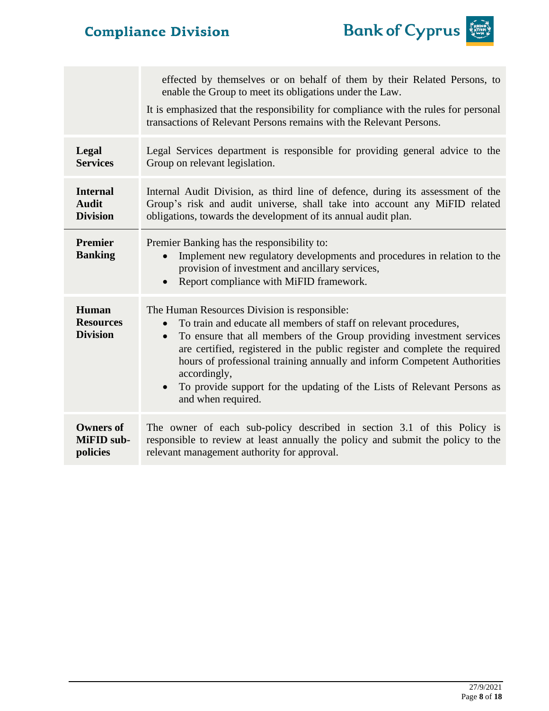

|                                              | effected by themselves or on behalf of them by their Related Persons, to<br>enable the Group to meet its obligations under the Law.<br>It is emphasized that the responsibility for compliance with the rules for personal<br>transactions of Relevant Persons remains with the Relevant Persons.                                                                                                                                                                     |
|----------------------------------------------|-----------------------------------------------------------------------------------------------------------------------------------------------------------------------------------------------------------------------------------------------------------------------------------------------------------------------------------------------------------------------------------------------------------------------------------------------------------------------|
| Legal                                        | Legal Services department is responsible for providing general advice to the                                                                                                                                                                                                                                                                                                                                                                                          |
| <b>Services</b>                              | Group on relevant legislation.                                                                                                                                                                                                                                                                                                                                                                                                                                        |
| <b>Internal</b>                              | Internal Audit Division, as third line of defence, during its assessment of the                                                                                                                                                                                                                                                                                                                                                                                       |
| <b>Audit</b>                                 | Group's risk and audit universe, shall take into account any MiFID related                                                                                                                                                                                                                                                                                                                                                                                            |
| <b>Division</b>                              | obligations, towards the development of its annual audit plan.                                                                                                                                                                                                                                                                                                                                                                                                        |
| <b>Premier</b><br><b>Banking</b>             | Premier Banking has the responsibility to:<br>Implement new regulatory developments and procedures in relation to the<br>provision of investment and ancillary services,<br>Report compliance with MiFID framework.                                                                                                                                                                                                                                                   |
| Human<br><b>Resources</b><br><b>Division</b> | The Human Resources Division is responsible:<br>To train and educate all members of staff on relevant procedures,<br>To ensure that all members of the Group providing investment services<br>are certified, registered in the public register and complete the required<br>hours of professional training annually and inform Competent Authorities<br>accordingly,<br>To provide support for the updating of the Lists of Relevant Persons as<br>and when required. |
| <b>Owners of</b>                             | The owner of each sub-policy described in section 3.1 of this Policy is                                                                                                                                                                                                                                                                                                                                                                                               |
| MiFID sub-                                   | responsible to review at least annually the policy and submit the policy to the                                                                                                                                                                                                                                                                                                                                                                                       |
| policies                                     | relevant management authority for approval.                                                                                                                                                                                                                                                                                                                                                                                                                           |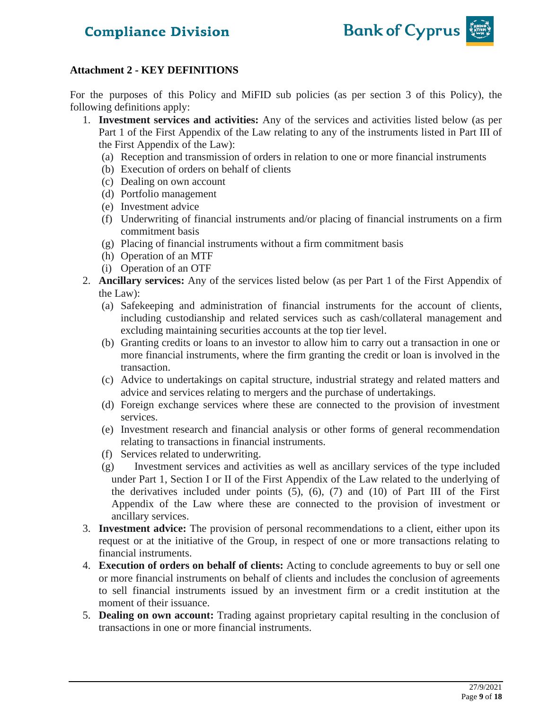

### **Attachment 2 - KEY DEFINITIONS**

For the purposes of this Policy and MiFID sub policies (as per section 3 of this Policy), the following definitions apply:

- 1. **Investment services and activities:** Any of the services and activities listed below (as per Part 1 of the First Appendix of the Law relating to any of the instruments listed in Part III of the First Appendix of the Law):
	- (a) Reception and transmission of orders in relation to one or more financial instruments
	- (b) Execution of orders on behalf of clients
	- (c) Dealing on own account
	- (d) Portfolio management
	- (e) Investment advice
	- (f) Underwriting of financial instruments and/or placing of financial instruments on a firm commitment basis
	- (g) Placing of financial instruments without a firm commitment basis
	- (h) Operation of an MTF
	- (i) Operation of an OTF
- 2. **Ancillary services:** Any of the services listed below (as per Part 1 of the First Appendix of the Law):
	- (a) Safekeeping and administration of financial instruments for the account of clients, including custodianship and related services such as cash/collateral management and excluding maintaining securities accounts at the top tier level.
	- (b) Granting credits or loans to an investor to allow him to carry out a transaction in one or more financial instruments, where the firm granting the credit or loan is involved in the transaction.
	- (c) Advice to undertakings on capital structure, industrial strategy and related matters and advice and services relating to mergers and the purchase of undertakings.
	- (d) Foreign exchange services where these are connected to the provision of investment services.
	- (e) Investment research and financial analysis or other forms of general recommendation relating to transactions in financial instruments.
	- (f) Services related to underwriting.
	- (g) Investment services and activities as well as ancillary services of the type included under Part 1, Section I or II of the First Appendix of the Law related to the underlying of the derivatives included under points (5), (6), (7) and (10) of Part III of the First Appendix of the Law where these are connected to the provision of investment or ancillary services.
- 3. **Investment advice:** The provision of personal recommendations to a client, either upon its request or at the initiative of the Group, in respect of one or more transactions relating to financial instruments.
- 4. **Execution of orders on behalf of clients:** Acting to conclude agreements to buy or sell one or more financial instruments on behalf of clients and includes the conclusion of agreements to sell financial instruments issued by an investment firm or a credit institution at the moment of their issuance.
- 5. **Dealing on own account:** Trading against proprietary capital resulting in the conclusion of transactions in one or more financial instruments.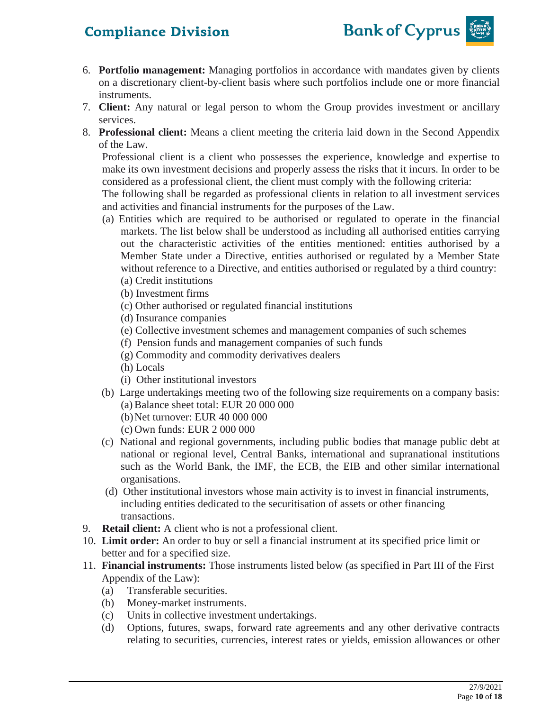

- 6. **Portfolio management:** Managing portfolios in accordance with mandates given by clients on a discretionary client-by-client basis where such portfolios include one or more financial instruments.
- 7. **Client:** Any natural or legal person to whom the Group provides investment or ancillary services.
- 8. **Professional client:** Means a client meeting the criteria laid down in the Second Appendix of the Law.

Professional client is a client who possesses the experience, knowledge and expertise to make its own investment decisions and properly assess the risks that it incurs. In order to be considered as a professional client, the client must comply with the following criteria:

The following shall be regarded as professional clients in relation to all investment services and activities and financial instruments for the purposes of the Law.

- (a) Entities which are required to be authorised or regulated to operate in the financial markets. The list below shall be understood as including all authorised entities carrying out the characteristic activities of the entities mentioned: entities authorised by a Member State under a Directive, entities authorised or regulated by a Member State without reference to a Directive, and entities authorised or regulated by a third country: (a) Credit institutions
	- (b) Investment firms
	- (c) Other authorised or regulated financial institutions
	- (d) Insurance companies
	- (e) Collective investment schemes and management companies of such schemes
	- (f) Pension funds and management companies of such funds
	- (g) Commodity and commodity derivatives dealers
	- (h) Locals
	- (i) Other institutional investors
- (b) Large undertakings meeting two of the following size requirements on a company basis: (a) Balance sheet total: EUR 20 000 000
	- (b)Net turnover: EUR 40 000 000
	- (c) Own funds: EUR 2 000 000
- (c) National and regional governments, including public bodies that manage public debt at national or regional level, Central Banks, international and supranational institutions such as the World Bank, the IMF, the ECB, the EIB and other similar international organisations.
- (d) Other institutional investors whose main activity is to invest in financial instruments, including entities dedicated to the securitisation of assets or other financing transactions.
- 9. **Retail client:** A client who is not a professional client.
- 10. **Limit order:** An order to buy or sell a financial instrument at its specified price limit or better and for a specified size.
- 11. **Financial instruments:** Those instruments listed below (as specified in Part III of the First Appendix of the Law):
	- (a) Transferable securities.
	- (b) Money-market instruments.
	- (c) Units in collective investment undertakings.
	- (d) Options, futures, swaps, forward rate agreements and any other derivative contracts relating to securities, currencies, interest rates or yields, emission allowances or other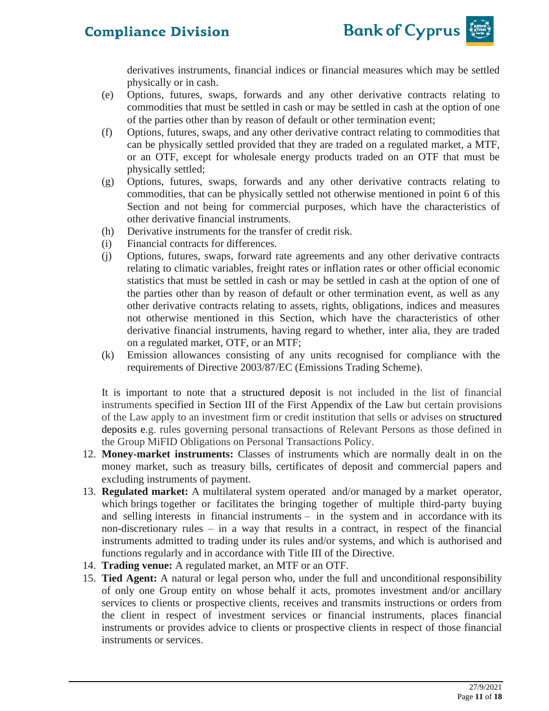

derivatives instruments, financial indices or financial measures which may be settled physically or in cash.

- (e) Options, futures, swaps, forwards and any other derivative contracts relating to commodities that must be settled in cash or may be settled in cash at the option of one of the parties other than by reason of default or other termination event;
- (f) Options, futures, swaps, and any other derivative contract relating to commodities that can be physically settled provided that they are traded on a regulated market, a MTF, or an OTF, except for wholesale energy products traded on an OTF that must be physically settled;
- (g) Options, futures, swaps, forwards and any other derivative contracts relating to commodities, that can be physically settled not otherwise mentioned in point 6 of this Section and not being for commercial purposes, which have the characteristics of other derivative financial instruments.
- (h) Derivative instruments for the transfer of credit risk.
- (i) Financial contracts for differences.
- (j) Options, futures, swaps, forward rate agreements and any other derivative contracts relating to climatic variables, freight rates or inflation rates or other official economic statistics that must be settled in cash or may be settled in cash at the option of one of the parties other than by reason of default or other termination event, as well as any other derivative contracts relating to assets, rights, obligations, indices and measures not otherwise mentioned in this Section, which have the characteristics of other derivative financial instruments, having regard to whether, inter alia, they are traded on a regulated market, OTF, or an MTF;
- (k) Emission allowances consisting of any units recognised for compliance with the requirements of Directive 2003/87/EC (Emissions Trading Scheme).

It is important to note that a [structured deposit](https://www.handbook.fca.org.uk/handbook/glossary/G1139.html) is not included in the list of financial instruments specified in Section III of the First Appendix of the Law but certain provisions of the Law apply to an investment firm or credit institution that sells or advises on [structured](https://www.handbook.fca.org.uk/handbook/glossary/G1139.html)  [deposits](https://www.handbook.fca.org.uk/handbook/glossary/G1139.html) e.g. rules governing personal transactions of Relevant Persons as those defined in the Group MiFID Obligations on Personal Transactions Policy.

- 12. **Money-market instruments:** Classes of instruments which are normally dealt in on the money market, such as treasury bills, certificates of deposit and commercial papers and excluding instruments of payment.
- 13. **Regulated market:** A multilateral system operated and/or managed by a market operator, which brings together or facilitates the bringing together of multiple third-party buying and selling interests in financial instruments – in the system and in accordance with its non-discretionary rules – in a way that results in a contract, in respect of the financial instruments admitted to trading under its rules and/or systems, and which is authorised and functions regularly and in accordance with Title III of the Directive.
- 14. **Trading venue:** A regulated market, an MTF or an OTF.
- 15. **Tied Agent:** A natural or legal person who, under the full and unconditional responsibility of only one Group entity on whose behalf it acts, promotes investment and/or ancillary services to clients or prospective clients, receives and transmits instructions or orders from the client in respect of investment services or financial instruments, places financial instruments or provides advice to clients or prospective clients in respect of those financial instruments or services.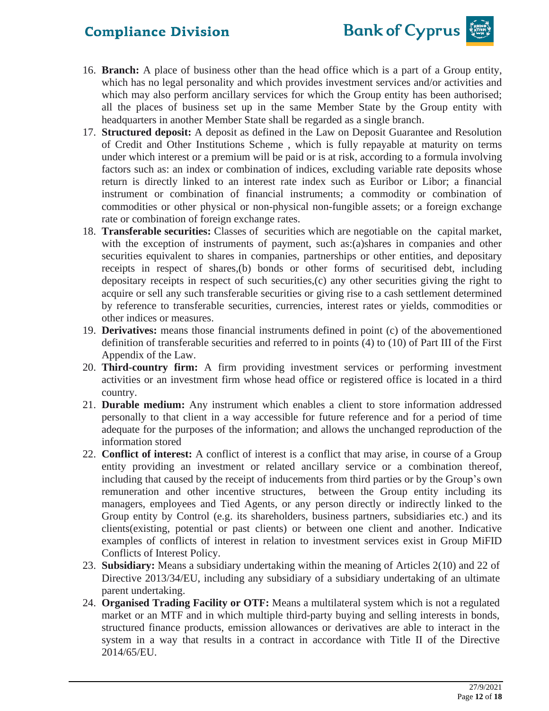

- 16. **Branch:** A place of business other than the head office which is a part of a Group entity, which has no legal personality and which provides investment services and/or activities and which may also perform ancillary services for which the Group entity has been authorised; all the places of business set up in the same Member State by the Group entity with headquarters in another Member State shall be regarded as a single branch.
- 17. **Structured deposit:** A deposit as defined in the Law on Deposit Guarantee and Resolution of Credit and Other Institutions Scheme , which is fully repayable at maturity on terms under which interest or a premium will be paid or is at risk, according to a formula involving factors such as: an index or combination of indices, excluding variable rate deposits whose return is directly linked to an interest rate index such as Euribor or Libor; a financial instrument or combination of financial instruments; a commodity or combination of commodities or other physical or non-physical non-fungible assets; or a foreign exchange rate or combination of foreign exchange rates.
- 18. **Transferable securities:** Classes of securities which are negotiable on the capital market, with the exception of instruments of payment, such as:(a)shares in companies and other securities equivalent to shares in companies, partnerships or other entities, and depositary receipts in respect of shares,(b) bonds or other forms of securitised debt, including depositary receipts in respect of such securities,(c) any other securities giving the right to acquire or sell any such transferable securities or giving rise to a cash settlement determined by reference to transferable securities, currencies, interest rates or yields, commodities or other indices or measures.
- 19. **Derivatives:** means those financial instruments defined in point (c) of the abovementioned definition of transferable securities and referred to in points (4) to (10) of Part III of the First Appendix of the Law.
- 20. **Third-country firm:** A firm providing investment services or performing investment activities or an investment firm whose head office or registered office is located in a third country.
- 21. **Durable medium:** Any instrument which enables a client to store information addressed personally to that client in a way accessible for future reference and for a period of time adequate for the purposes of the information; and allows the unchanged reproduction of the information stored
- 22. **Conflict of interest:** A conflict of interest is a conflict that may arise, in course of a Group entity providing an investment or related ancillary service or a combination thereof, including that caused by the receipt of inducements from third parties or by the Group's own remuneration and other incentive structures, between the Group entity including its managers, employees and Tied Agents, or any person directly or indirectly linked to the Group entity by Control (e.g. its shareholders, business partners, subsidiaries etc.) and its clients(existing, potential or past clients) or between one client and another. Indicative examples of conflicts of interest in relation to investment services exist in Group MiFID Conflicts of Interest Policy.
- 23. **Subsidiary:** Means a subsidiary undertaking within the meaning of Articles 2(10) and 22 of Directive 2013/34/EU, including any subsidiary of a subsidiary undertaking of an ultimate parent undertaking.
- 24. **Organised Trading Facility or OTF:** Means a multilateral system which is not a regulated market or an MTF and in which multiple third-party buying and selling interests in bonds, structured finance products, emission allowances or derivatives are able to interact in the system in a way that results in a contract in accordance with Title II of the Directive 2014/65/EU.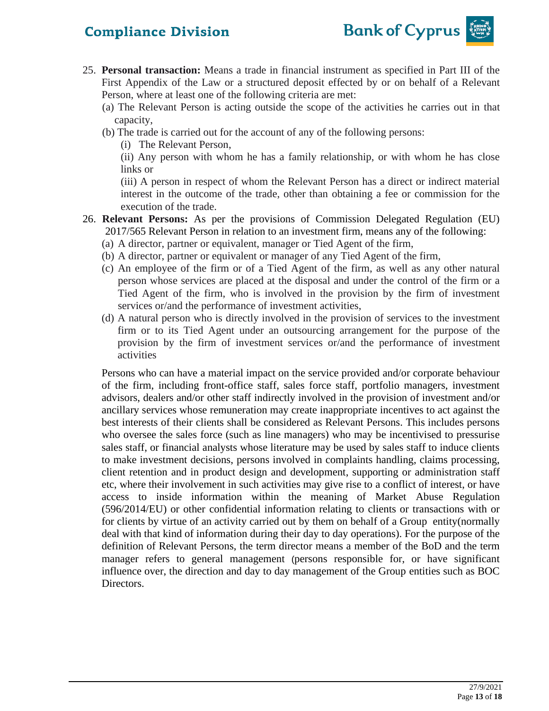

- 25. **Personal transaction:** Means a trade in financial instrument as specified in Part III of the First Appendix of the Law or a structured deposit effected by or on behalf of a Relevant Person, where at least one of the following criteria are met:
	- (a) The Relevant Person is acting outside the scope of the activities he carries out in that capacity,
	- (b) The trade is carried out for the account of any of the following persons:
		- (i) The Relevant Person,

(ii) Any person with whom he has a family relationship, or with whom he has close links or

(iii) A person in respect of whom the Relevant Person has a direct or indirect material interest in the outcome of the trade, other than obtaining a fee or commission for the execution of the trade.

- 26. **Relevant Persons:** As per the provisions of Commission Delegated Regulation (EU) 2017/565 Relevant Person in relation to an investment firm, means any of the following:
	- (a) A director, partner or equivalent, manager or Tied Agent of the firm,
	- (b) A director, partner or equivalent or manager of any Tied Agent of the firm,
	- (c) An employee of the firm or of a Tied Agent of the firm, as well as any other natural person whose services are placed at the disposal and under the control of the firm or a Tied Agent of the firm, who is involved in the provision by the firm of investment services or/and the performance of investment activities,
	- (d) A natural person who is directly involved in the provision of services to the investment firm or to its Tied Agent under an outsourcing arrangement for the purpose of the provision by the firm of investment services or/and the performance of investment activities

Persons who can have a material impact on the service provided and/or corporate behaviour of the firm, including front-office staff, sales force staff, portfolio managers, investment advisors, dealers and/or other staff indirectly involved in the provision of investment and/or ancillary services whose remuneration may create inappropriate incentives to act against the best interests of their clients shall be considered as Relevant Persons. This includes persons who oversee the sales force (such as line managers) who may be incentivised to pressurise sales staff, or financial analysts whose literature may be used by sales staff to induce clients to make investment decisions, persons involved in complaints handling, claims processing, client retention and in product design and development, supporting or administration staff etc, where their involvement in such activities may give rise to a conflict of interest, or have access to inside information within the meaning of Market Abuse Regulation (596/2014/EU) or other confidential information relating to clients or transactions with or for clients by virtue of an activity carried out by them on behalf of a Group entity(normally deal with that kind of information during their day to day operations). For the purpose of the definition of Relevant Persons, the term director means a member of the BoD and the term manager refers to general management (persons responsible for, or have significant influence over, the direction and day to day management of the Group entities such as BOC Directors.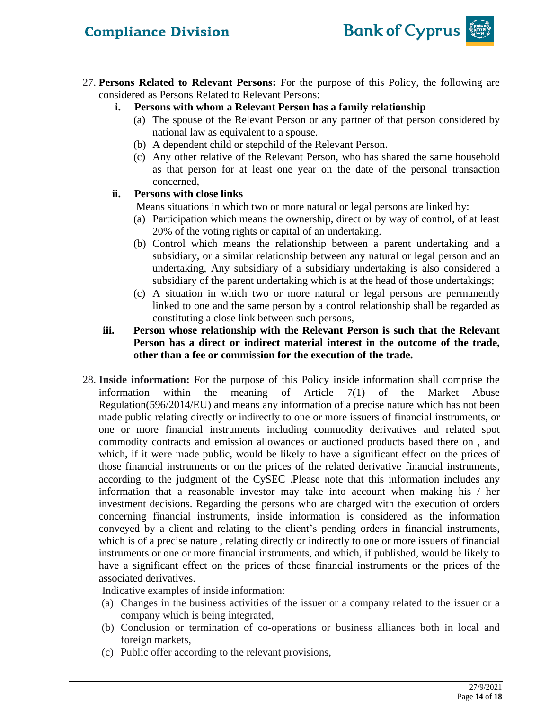

- 27. **Persons Related to Relevant Persons:** For the purpose of this Policy, the following are considered as Persons Related to Relevant Persons:
	- **i. Persons with whom a Relevant Person has a family relationship**
		- (a) The spouse of the Relevant Person or any partner of that person considered by national law as equivalent to a spouse.
		- (b) A dependent child or stepchild of the Relevant Person.
		- (c) Any other relative of the Relevant Person, who has shared the same household as that person for at least one year on the date of the personal transaction concerned,

### **ii. Persons with close links**

Means situations in which two or more natural or legal persons are linked by:

- (a) Participation which means the ownership, direct or by way of control, of at least 20% of the voting rights or capital of an undertaking.
- (b) Control which means the relationship between a parent undertaking and a subsidiary, or a similar relationship between any natural or legal person and an undertaking, Any subsidiary of a subsidiary undertaking is also considered a subsidiary of the parent undertaking which is at the head of those undertakings;
- (c) A situation in which two or more natural or legal persons are permanently linked to one and the same person by a control relationship shall be regarded as constituting a close link between such persons,
- **iii. Person whose relationship with the Relevant Person is such that the Relevant Person has a direct or indirect material interest in the outcome of the trade, other than a fee or commission for the execution of the trade.**
- 28. **Inside information:** For the purpose of this Policy inside information shall comprise the information within the meaning of Article 7(1) of the Market Abuse Regulation(596/2014/EU) and means any information of a precise nature which has not been made public relating directly or indirectly to one or more issuers of financial instruments, or one or more financial instruments including commodity derivatives and related spot commodity contracts and emission allowances or auctioned products based there on , and which, if it were made public, would be likely to have a significant effect on the prices of those financial instruments or on the prices of the related derivative financial instruments, according to the judgment of the CySEC .Please note that this information includes any information that a reasonable investor may take into account when making his / her investment decisions. Regarding the persons who are charged with the execution of orders concerning financial instruments, inside information is considered as the information conveyed by a client and relating to the client's pending orders in financial instruments, which is of a precise nature , relating directly or indirectly to one or more issuers of financial instruments or one or more financial instruments, and which, if published, would be likely to have a significant effect on the prices of those financial instruments or the prices of the associated derivatives.

Indicative examples of inside information:

- (a) Changes in the business activities of the issuer or a company related to the issuer or a company which is being integrated,
- (b) Conclusion or termination of co-operations or business alliances both in local and foreign markets,
- (c) Public offer according to the relevant provisions,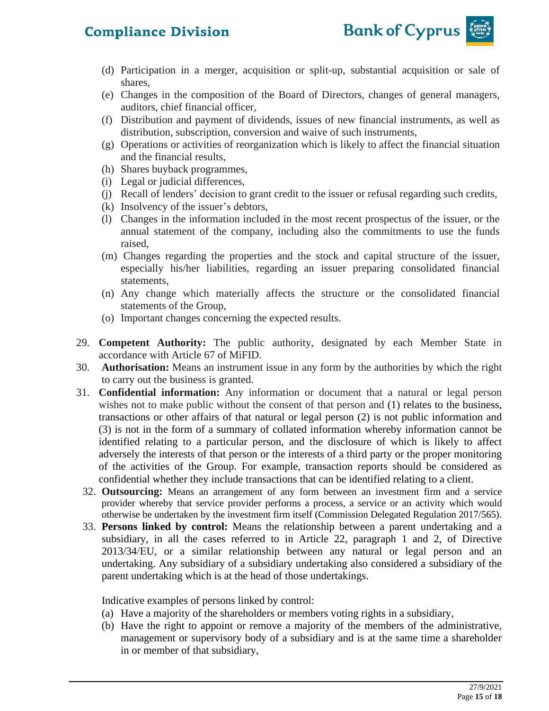

- (d) Participation in a merger, acquisition or split-up, substantial acquisition or sale of shares,
- (e) Changes in the composition of the Board of Directors, changes of general managers, auditors, chief financial officer,
- (f) Distribution and payment of dividends, issues of new financial instruments, as well as distribution, subscription, conversion and waive of such instruments,
- (g) Operations or activities of reorganization which is likely to affect the financial situation and the financial results,
- (h) Shares buyback programmes,
- (i) Legal or judicial differences,
- (j) Recall of lenders' decision to grant credit to the issuer or refusal regarding such credits,
- (k) Insolvency of the issuer's debtors,
- (l) Changes in the information included in the most recent prospectus of the issuer, or the annual statement of the company, including also the commitments to use the funds raised,
- (m) Changes regarding the properties and the stock and capital structure of the issuer, especially his/her liabilities, regarding an issuer preparing consolidated financial statements,
- (n) Any change which materially affects the structure or the consolidated financial statements of the Group,
- (o) Important changes concerning the expected results.
- 29. **Competent Authority:** The public authority, designated by each Member State in accordance with Article 67 of MiFID.
- 30. **Authorisation:** Means an instrument issue in any form by the authorities by which the right to carry out the business is granted.
- 31. **Confidential information:** Any information or document that a natural or legal person wishes not to make public without the consent of that person and (1) relates to the business, transactions or other affairs of that natural or legal person (2) is not public information and (3) is not in the form of a summary of collated information whereby information cannot be identified relating to a particular person, and the disclosure of which is likely to affect adversely the interests of that person or the interests of a third party or the proper monitoring of the activities of the Group. For example, transaction reports should be considered as confidential whether they include transactions that can be identified relating to a client.
	- 32. **Outsourcing:** Means an arrangement of any form between an investment firm and a service provider whereby that service provider performs a process, a service or an activity which would otherwise be undertaken by the investment firm itself (Commission Delegated Regulation 2017/565).
	- 33. **Persons linked by control:** Means the relationship between a parent undertaking and a subsidiary, in all the cases referred to in Article 22, paragraph 1 and 2, of Directive 2013/34/ΕU, or a similar relationship between any natural or legal person and an undertaking. Any subsidiary of a subsidiary undertaking also considered a subsidiary of the parent undertaking which is at the head of those undertakings.

Indicative examples of persons linked by control:

- (a) Have a majority of the shareholders or members voting rights in a subsidiary,
- (b) Have the right to appoint or remove a majority of the members of the administrative, management or supervisory body of a subsidiary and is at the same time a shareholder in or member of that subsidiary,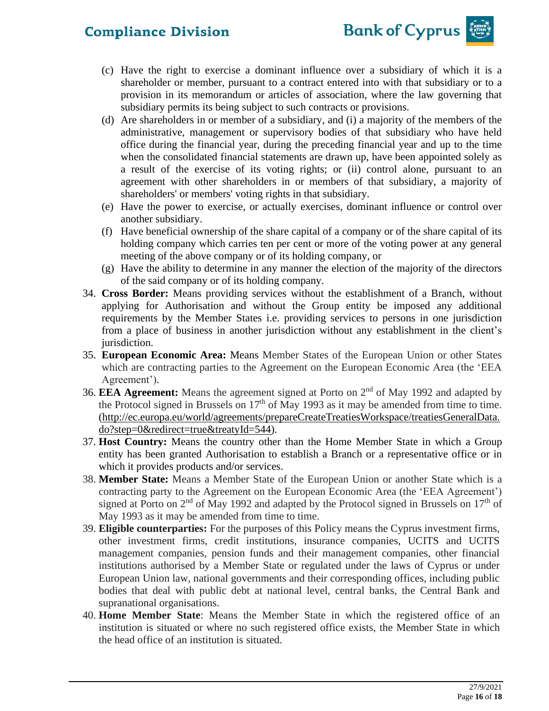

- (c) Have the right to exercise a dominant influence over a subsidiary of which it is a shareholder or member, pursuant to a contract entered into with that subsidiary or to a provision in its memorandum or articles of association, where the law governing that subsidiary permits its being subject to such contracts or provisions.
- (d) Are shareholders in or member of a subsidiary, and (i) a majority of the members of the administrative, management or supervisory bodies of that subsidiary who have held office during the financial year, during the preceding financial year and up to the time when the consolidated financial statements are drawn up, have been appointed solely as a result of the exercise of its voting rights; or (ii) control alone, pursuant to an agreement with other shareholders in or members of that subsidiary, a majority of shareholders' or members' voting rights in that subsidiary.
- (e) Have the power to exercise, or actually exercises, dominant influence or control over another subsidiary.
- (f) Have beneficial ownership of the share capital of a company or of the share capital of its holding company which carries ten per cent or more of the voting power at any general meeting of the above company or of its holding company, or
- (g) Have the ability to determine in any manner the election of the majority of the directors of the said company or of its holding company.
- 34. **Cross Border:** Means providing services without the establishment of a Branch, without applying for Authorisation and without the Group entity be imposed any additional requirements by the Member States i.e. providing services to persons in one jurisdiction from a place of business in another jurisdiction without any establishment in the client's jurisdiction.
- 35. **European Economic Area:** Means Member States of the European Union or other States which are contracting parties to the Agreement on the European Economic Area (the 'EEA Agreement').
- 36. EEA Agreement: Means the agreement signed at Porto on 2<sup>nd</sup> of May 1992 and adapted by the Protocol signed in Brussels on  $17<sup>th</sup>$  of May 1993 as it may be amended from time to time. [\(http://ec.europa.eu/world/agreements/prepareCreateTreatiesWorkspace/treatiesGeneralData.](http://ec.europa.eu/world/agreements/prepareCreateTreatiesWorkspace/treatiesGeneralData.do?step=0&redirect=true&treatyId=544) [do?step=0&redirect=true&treatyId=544\)](http://ec.europa.eu/world/agreements/prepareCreateTreatiesWorkspace/treatiesGeneralData.do?step=0&redirect=true&treatyId=544).
- 37. **Host Country:** Means the country other than the Home Member State in which a Group entity has been granted Authorisation to establish a Branch or a representative office or in which it provides products and/or services.
- 38. **Member State:** Means a Member State of the European Union or another State which is a contracting party to the Agreement on the European Economic Area (the 'EEA Agreement') signed at Porto on  $2<sup>nd</sup>$  of May 1992 and adapted by the Protocol signed in Brussels on  $17<sup>th</sup>$  of May 1993 as it may be amended from time to time.
- 39. **Eligible counterparties:** For the purposes of this Policy means the Cyprus investment firms, other investment firms, credit institutions, insurance companies, UCITS and UCITS management companies, pension funds and their management companies, other financial institutions authorised by a Member State or regulated under the laws of Cyprus or under European Union law, national governments and their corresponding offices, including public bodies that deal with public debt at national level, central banks, the Central Bank and supranational organisations.
- 40. **Home Member State**: Means the Member State in which the registered office of an institution is situated or where no such registered office exists, the Member State in which the head office of an institution is situated.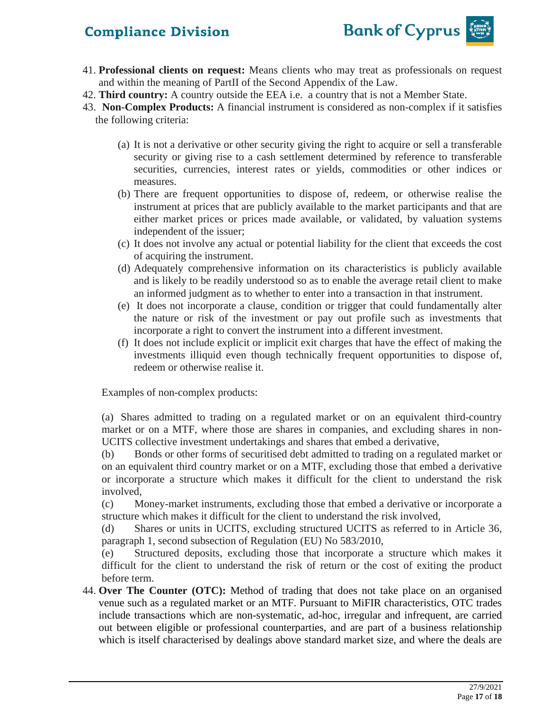

- 41. **Professional clients on request:** Means clients who may treat as professionals on request and within the meaning of PartII of the Second Appendix of the Law.
- 42. **Third country:** A country outside the EEA i.e. a country that is not a Member State.
- 43. **Non-Complex Products:** A financial instrument is considered as non-complex if it satisfies the following criteria:
	- (a) It is not a derivative or other security giving the right to acquire or sell a transferable security or giving rise to a cash settlement determined by reference to transferable securities, currencies, interest rates or yields, commodities or other indices or measures.
	- (b) There are frequent opportunities to dispose of, redeem, or otherwise realise the instrument at prices that are publicly available to the market participants and that are either market prices or prices made available, or validated, by valuation systems independent of the issuer;
	- (c) It does not involve any actual or potential liability for the client that exceeds the cost of acquiring the instrument.
	- (d) Adequately comprehensive information on its characteristics is publicly available and is likely to be readily understood so as to enable the average retail client to make an informed judgment as to whether to enter into a transaction in that instrument.
	- (e) It does not incorporate a clause, condition or trigger that could fundamentally alter the nature or risk of the investment or pay out profile such as investments that incorporate a right to convert the instrument into a different investment.
	- (f) It does not include explicit or implicit exit charges that have the effect of making the investments illiquid even though technically frequent opportunities to dispose of, redeem or otherwise realise it.

Examples of non-complex products:

(a) Shares admitted to trading on a regulated market or on an equivalent third-country market or on a MTF, where those are shares in companies, and excluding shares in non-UCITS collective investment undertakings and shares that embed a derivative,

(b) Bonds or other forms of securitised debt admitted to trading on a regulated market or on an equivalent third country market or on a MTF, excluding those that embed a derivative or incorporate a structure which makes it difficult for the client to understand the risk involved,

(c) Money-market instruments, excluding those that embed a derivative or incorporate a structure which makes it difficult for the client to understand the risk involved,

(d) Shares or units in UCITS, excluding structured UCITS as referred to in Article 36, paragraph 1, second subsection of Regulation (EU) No 583/2010,

(e) Structured deposits, excluding those that incorporate a structure which makes it difficult for the client to understand the risk of return or the cost of exiting the product before term.

44. **Over The Counter (OTC):** Method of trading that does not take place on an organised venue such as a [regulated market](https://www.emissions-euets.com/trading-venues/regulated-market) or an [MTF.](https://www.emissions-euets.com/trading-venues/multirlateral-trading-facility-mtf) Pursuant to [MiFIR](https://www.emissions-euets.com/mifid2-mifir) characteristics, OTC trades include transactions which are non-systematic, ad-hoc, irregular and infrequent, are carried out between eligible or professional counterparties, and are part of a business relationship which is itself characterised by dealings above standard market size, and where the deals are